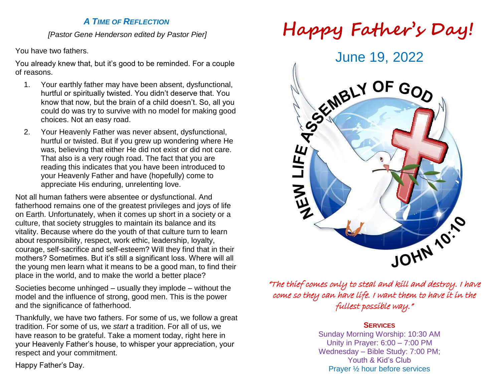# *A TIME OF REFLECTION*

*[Pastor Gene Henderson edited by Pastor Pier]*

You have two fathers.

You already knew that, but it's good to be reminded. For a couple of reasons.

- 1. Your earthly father may have been absent, dysfunctional, hurtful or spiritually twisted. You didn't deserve that. You know that now, but the brain of a child doesn't. So, all you could do was try to survive with no model for making good choices. Not an easy road.
- 2. Your Heavenly Father was never absent, dysfunctional, hurtful or twisted. But if you grew up wondering where He was, believing that either He did not exist or did not care. That also is a very rough road. The fact that you are reading this indicates that you have been introduced to your Heavenly Father and have (hopefully) come to appreciate His enduring, unrelenting love.

Not all human fathers were absentee or dysfunctional. And fatherhood remains one of the greatest privileges and joys of life on Earth. Unfortunately, when it comes up short in a society or a culture, that society struggles to maintain its balance and its vitality. Because where do the youth of that culture turn to learn about responsibility, respect, work ethic, leadership, loyalty, courage, self-sacrifice and self-esteem? Will they find that in their mothers? Sometimes. But it's still a significant loss. Where will all the young men learn what it means to be a good man, to find their place in the world, and to make the world a better place?

Societies become unhinged – usually they implode – without the model and the influence of strong, good men. This is the power and the significance of fatherhood.

Thankfully, we have two fathers. For some of us, we follow a great tradition. For some of us, we *start* a tradition. For all of us, we have reason to be grateful. Take a moment today, right here in your Heavenly Father's house, to whisper your appreciation, your respect and your commitment.

Happy Father's Day.





"The thief comes only to steal and kill and destroy. I have come so they can have life. I want them to have it in the fullest possible way."

### **SERVICES**

Sunday Morning Worship: 10:30 AM Unity in Prayer: 6:00 – 7:00 PM Wednesday – Bible Study: 7:00 PM; Youth & Kid's Club Prayer ½ hour before services